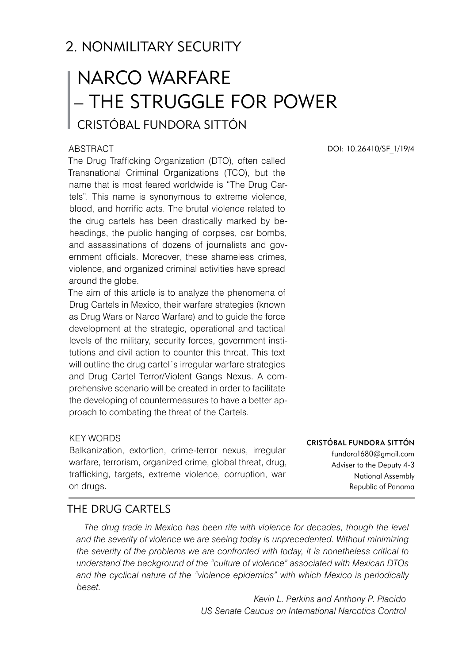# 2. NONMILITARY SECURITY

# NARCO WARFARE – THE STRUGGLE FOR POWER Cristóbal Fundora Sittón

### **ABSTRACT**

The Drug Trafficking Organization (DTO), often called Transnational Criminal Organizations (TCO), but the name that is most feared worldwide is "The Drug Cartels". This name is synonymous to extreme violence, blood, and horrific acts. The brutal violence related to the drug cartels has been drastically marked by beheadings, the public hanging of corpses, car bombs, and assassinations of dozens of journalists and government officials. Moreover, these shameless crimes, violence, and organized criminal activities have spread around the globe.

The aim of this article is to analyze the phenomena of Drug Cartels in Mexico, their warfare strategies (known as Drug Wars or Narco Warfare) and to guide the force development at the strategic, operational and tactical levels of the military, security forces, government institutions and civil action to counter this threat. This text will outline the drug cartel's irregular warfare strategies and Drug Cartel Terror/Violent Gangs Nexus. A comprehensive scenario will be created in order to facilitate the developing of countermeasures to have a better approach to combating the threat of the Cartels.

### KEY WORDS

Balkanization, extortion, crime-terror nexus, irregular warfare, terrorism, organized crime, global threat, drug, trafficking, targets, extreme violence, corruption, war on drugs.

DOI: 10.26410/SF\_1/19/4

#### Cristóbal Fundora Sittón

fundora1680@gmail.com Adviser to the Deputy 4-3 National Assembly Republic of Panama

## THE DRUG CARTELS

The drug trade in Mexico has been rife with violence for decades, though the level *and the severity of violence we are seeing today is unprecedented. Without minimizing the severity of the problems we are confronted with today, it is nonetheless critical to understand the background of the "culture of violence" associated with Mexican DTOs and the cyclical nature of the "violence epidemics" with which Mexico is periodically beset.*

> *Kevin L. Perkins and Anthony P. Placido US Senate Caucus on International Narcotics Control*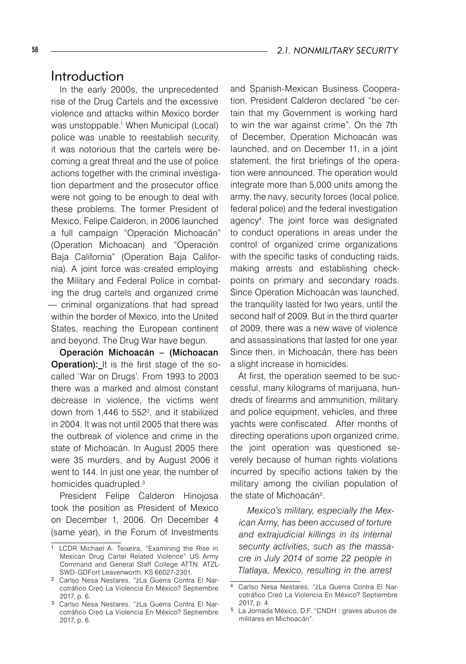# Introduction

In the early 2000s, the unprecedented rise of the Drug Cartels and the excessive violence and attacks within Mexico border was unstoppable.<sup>1</sup> When Municipal (Local) police was unable to reestablish security, it was notorious that the cartels were becoming a great threat and the use of police actions together with the criminal investigation department and the prosecutor office were not going to be enough to deal with these problems. The former President of Mexico, Felipe Calderon, in 2006 launched a full campaign "Operación Michoacán" (Operation Michoacan) and "Operación Baja California" (Operation Baja California). A joint force was created employing the Military and Federal Police in combating the drug cartels and organized crime — criminal organizations that had spread within the border of Mexico, into the United States, reaching the European continent and beyond. The Drug War have begun.

Operación Michoacán – (Michoacan Operation): It is the first stage of the socalled 'War on Drugs'. From 1993 to 2003 there was a marked and almost constant decrease in violence, the victims went down from 1,446 to  $552^2$ , and it stabilized in 2004. It was not until 2005 that there was the outbreak of violence and crime in the state of Michoacán. In August 2005 there were 35 murders, and by August 2006 it went to 144. In just one year, the number of homicides quadrupled.<sup>3</sup>

President Felipe Calderon Hinojosa took the position as President of Mexico on December 1, 2006. On December 4 (same year), in the Forum of Investments and Spanish-Mexican Business Cooperation, President Calderon declared "be certain that my Government is working hard to win the war against crime". On the 7th of December, Operation Michoacán was launched, and on December 11, in a joint statement, the first briefings of the operation were announced. The operation would integrate more than 5,000 units among the army, the navy, security forces (local police, federal police) and the federal investigation agency4 . The joint force was designated to conduct operations in areas under the control of organized crime organizations with the specific tasks of conducting raids. making arrests and establishing checkpoints on primary and secondary roads. Since Operation Michoacán was launched, the tranquility lasted for two years, until the second half of 2009. But in the third quarter of 2009, there was a new wave of violence and assassinations that lasted for one year. Since then, in Michoacán, there has been a slight increase in homicides.

At first, the operation seemed to be successful, many kilograms of marijuana, hundreds of firearms and ammunition, military and police equipment, vehicles, and three yachts were confiscated. After months of directing operations upon organized crime, the joint operation was questioned severely because of human rights violations incurred by specific actions taken by the military among the civilian population of the state of Michoacán<sup>5</sup>.

*Mexico's military, especially the Mexican Army, has been accused of torture and extrajudicial killings in its internal security activities, such as the massacre in July 2014 of some 22 people in Tlatlaya, Mexico, resulting in the arrest* 

 $\overline{1}$  LCDR Michael A. Teixeira, "Examining the Rise in Mexican Drug Cartel Related Violence" US Army Command and General Staff College ATTN: ATZL-SWD-GDFort Leavenworth, KS 66027-2301.

Carlso Nesa Nestares, "żLa Guerra Contra El Narcotráfico Creó La Violencia En México? Septiembre 2017, p. 6.

 Carlso Nesa Nestares, "żLa Guerra Contra El Narcotráfico Creó La Violencia En México? Septiembre 2017, p. 6.

Carlso Nesa Nestares, "żLa Guerra Contra El Narcotráfico Creó La Violencia En México? Septiembre 2017, p. 4.

La Jornada México, D.F. "CNDH : graves abusos de militares en Michoacán".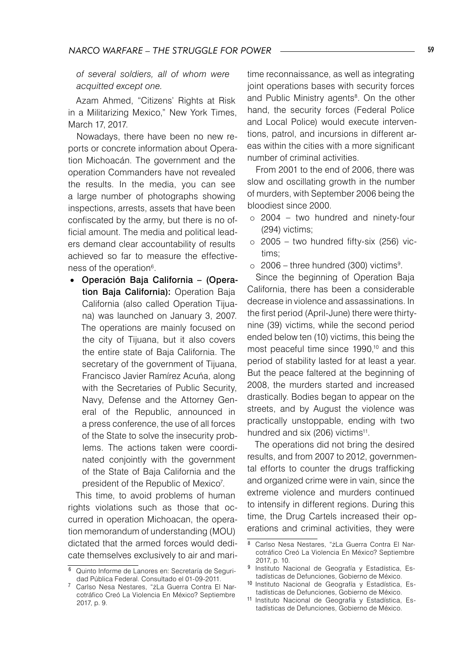*of several soldiers, all of whom were acquitted except one.*

Azam Ahmed, "Citizens' Rights at Risk in a Militarizing Mexico," New York Times, March 17, 2017.

Nowadays, there have been no new reports or concrete information about Operation Michoacán. The government and the operation Commanders have not revealed the results. In the media, you can see a large number of photographs showing inspections, arrests, assets that have been confiscated by the army, but there is no official amount. The media and political leaders demand clear accountability of results achieved so far to measure the effectiveness of the operation<sup>6</sup>.

• Operación Baja California – (Operation Baja California): Operation Baja California (also called Operation Tijuana) was launched on January 3, 2007. The operations are mainly focused on the city of Tijuana, but it also covers the entire state of Baja California. The secretary of the government of Tijuana, Francisco Javier Ramírez Acuńa, along with the Secretaries of Public Security, Navy, Defense and the Attorney General of the Republic, announced in a press conference, the use of all forces of the State to solve the insecurity problems. The actions taken were coordinated conjointly with the government of the State of Baja California and the president of the Republic of Mexico<sup>7</sup>.

This time, to avoid problems of human rights violations such as those that occurred in operation Michoacan, the operation memorandum of understanding (MOU) dictated that the armed forces would dedicate themselves exclusively to air and maritime reconnaissance, as well as integrating joint operations bases with security forces and Public Ministry agents<sup>8</sup>. On the other hand, the security forces (Federal Police and Local Police) would execute interventions, patrol, and incursions in different areas within the cities with a more significant number of criminal activities.

From 2001 to the end of 2006, there was slow and oscillating growth in the number of murders, with September 2006 being the bloodiest since 2000.

- $\circ$  2004 two hundred and ninety-four (294) victims;
- $\circ$  2005 two hundred fifty-six (256) victims;
- $\circ$  2006 three hundred (300) victims<sup>9</sup>.

Since the beginning of Operation Baja California, there has been a considerable decrease in violence and assassinations. In the first period (April-June) there were thirtynine (39) victims, while the second period ended below ten (10) victims, this being the most peaceful time since 1990,<sup>10</sup> and this period of stability lasted for at least a year. But the peace faltered at the beginning of 2008, the murders started and increased drastically. Bodies began to appear on the streets, and by August the violence was practically unstoppable, ending with two hundred and six (206) victims<sup>11</sup>.

The operations did not bring the desired results, and from 2007 to 2012, governmental efforts to counter the drugs trafficking and organized crime were in vain, since the extreme violence and murders continued to intensify in different regions. During this time, the Drug Cartels increased their operations and criminal activities, they were

 Quinto Informe de Lanores en: Secretaría de Seguridad Pública Federal. Consultado el 01-09-2011.

Carlso Nesa Nestares, "żLa Guerra Contra El Narcotráfico Creó La Violencia En México? Septiembre 2017, p. 9.

Carlso Nesa Nestares, "żLa Guerra Contra El Narcotráfico Creó La Violencia En México? Septiembre 2017, p. 10.

<sup>&</sup>lt;sup>9</sup> Instituto Nacional de Geografía y Estadística, Estadísticas de Defunciones, Gobierno de México.

<sup>10</sup> Instituto Nacional de Geografía y Estadística, Estadísticas de Defunciones, Gobierno de México.

<sup>11</sup> Instituto Nacional de Geografía y Estadística, Estadísticas de Defunciones, Gobierno de México.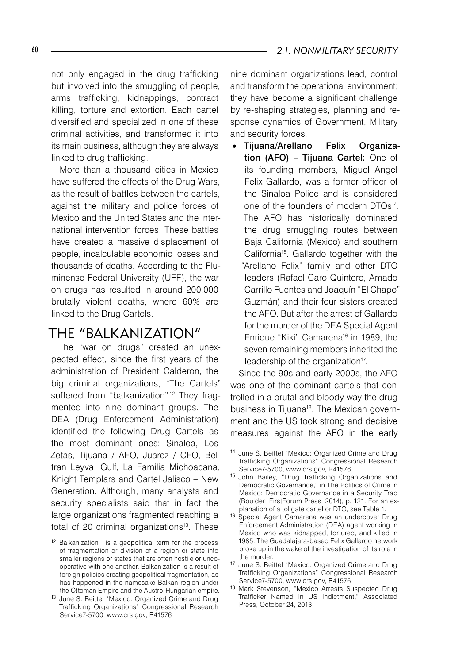not only engaged in the drug trafficking but involved into the smuggling of people, arms trafficking, kidnappings, contract killing, torture and extortion. Each cartel diversified and specialized in one of these criminal activities, and transformed it into its main business, although they are always linked to drug trafficking.

More than a thousand cities in Mexico have suffered the effects of the Drug Wars, as the result of battles between the cartels, against the military and police forces of Mexico and the United States and the international intervention forces. These battles have created a massive displacement of people, incalculable economic losses and thousands of deaths. According to the Fluminense Federal University (UFF), the war on drugs has resulted in around 200,000 brutally violent deaths, where 60% are linked to the Drug Cartels.

# THE "BALKANIZATION"

The "war on drugs" created an unexpected effect, since the first years of the administration of President Calderon, the big criminal organizations, "The Cartels" suffered from "balkanization".<sup>12</sup> They fragmented into nine dominant groups. The DEA (Drug Enforcement Administration) identified the following Drug Cartels as the most dominant ones: Sinaloa, Los Zetas, Tijuana / AFO, Juarez / CFO, Beltran Leyva, Gulf, La Familia Michoacana, Knight Templars and Cartel Jalisco – New Generation. Although, many analysts and security specialists said that in fact the large organizations fragmented reaching a total of 20 criminal organizations<sup>13</sup>. These

nine dominant organizations lead, control and transform the operational environment; they have become a significant challenge by re-shaping strategies, planning and response dynamics of Government, Military and security forces.

• Tijuana/Arellano Felix Organization (AFO) – Tijuana Cartel: One of its founding members, Miguel Angel Felix Gallardo, was a former officer of the Sinaloa Police and is considered one of the founders of modern DTOs<sup>14</sup>. The AFO has historically dominated the drug smuggling routes between Baja California (Mexico) and southern California15. Gallardo together with the "Arellano Felix" family and other DTO leaders (Rafael Caro Quintero, Amado Carrillo Fuentes and Joaquín "El Chapo" Guzmán) and their four sisters created the AFO. But after the arrest of Gallardo for the murder of the DEA Special Agent Enrique "Kiki" Camarena<sup>16</sup> in 1989, the seven remaining members inherited the leadership of the organization<sup>17</sup>.

Since the 90s and early 2000s, the AFO was one of the dominant cartels that controlled in a brutal and bloody way the drug business in Tijuana<sup>18</sup>. The Mexican government and the US took strong and decisive measures against the AFO in the early

<sup>12</sup> Balkanization: is a geopolitical term for the process of fragmentation or division of a region or state into smaller regions or states that are often hostile or uncooperative with one another. Balkanization is a result of foreign policies creating geopolitical fragmentation, as has happened in the namesake Balkan region under the Ottoman Empire and the Austro-Hungarian empire.

<sup>13</sup> June S. Beittel "Mexico: Organized Crime and Drug Trafficking Organizations" Congressional Research Service7-5700, www.crs.gov, R41576

<sup>14</sup> June S. Beittel "Mexico: Organized Crime and Drug Trafficking Organizations" Congressional Research Service7-5700, www.crs.gov, R41576

<sup>15</sup> John Bailey, "Drug Trafficking Organizations and Democratic Governance," in The Politics of Crime in Mexico: Democratic Governance in a Security Trap (Boulder: FirstForum Press, 2014), p. 121. For an explanation of a tollgate cartel or DTO, see Table 1.

<sup>16</sup> Special Agent Camarena was an undercover Drug Enforcement Administration (DEA) agent working in Mexico who was kidnapped, tortured, and killed in 1985. The Guadalajara-based Felix Gallardo network broke up in the wake of the investigation of its role in the murder.

<sup>17</sup> June S. Beittel "Mexico: Organized Crime and Drug Trafficking Organizations" Congressional Research Service7-5700, www.crs.gov, R41576

<sup>18</sup> Mark Stevenson, "Mexico Arrests Suspected Drug Trafficker Named in US Indictment," Associated Press, October 24, 2013.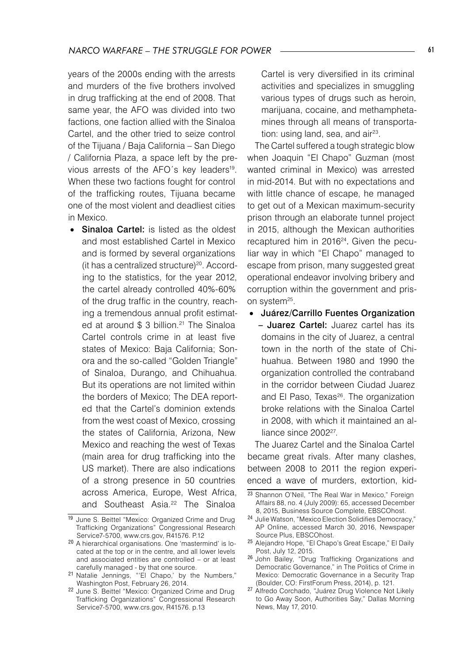years of the 2000s ending with the arrests and murders of the five brothers involved in drug trafficking at the end of 2008. That same year, the AFO was divided into two factions, one faction allied with the Sinaloa Cartel, and the other tried to seize control of the Tijuana / Baja California – San Diego / California Plaza, a space left by the previous arrests of the AFO's key leaders<sup>19</sup>. When these two factions fought for control of the trafficking routes, Tijuana became one of the most violent and deadliest cities in Mexico.

• Sinaloa Cartel: is listed as the oldest and most established Cartel in Mexico and is formed by several organizations (it has a centralized structure)<sup>20</sup>. According to the statistics, for the year 2012, the cartel already controlled 40%-60% of the drug traffic in the country, reaching a tremendous annual profit estimated at around \$ 3 billion.<sup>21</sup> The Sinaloa Cartel controls crime in at least five states of Mexico: Baja California; Sonora and the so-called "Golden Triangle" of Sinaloa, Durango, and Chihuahua. But its operations are not limited within the borders of Mexico; The DEA reported that the Cartel's dominion extends from the west coast of Mexico, crossing the states of California, Arizona, New Mexico and reaching the west of Texas (main area for drug trafficking into the US market). There are also indications of a strong presence in 50 countries across America, Europe, West Africa, and Southeast Asia.<sup>22</sup> The Sinaloa

Cartel is very diversified in its criminal activities and specializes in smuggling various types of drugs such as heroin, marijuana, cocaine, and methamphetamines through all means of transportation: using land, sea, and  $air<sup>23</sup>$ .

The Cartel suffered a tough strategic blow when Joaquin "El Chapo" Guzman (most wanted criminal in Mexico) was arrested in mid-2014. But with no expectations and with little chance of escape, he managed to get out of a Mexican maximum-security prison through an elaborate tunnel project in 2015, although the Mexican authorities recaptured him in 2016<sup>24</sup>. Given the peculiar way in which "El Chapo" managed to escape from prison, many suggested great operational endeavor involving bribery and corruption within the government and prison system<sup>25</sup>.

• Juárez/Carrillo Fuentes Organization – Juarez Cartel: Juarez cartel has its domains in the city of Juarez, a central town in the north of the state of Chihuahua. Between 1980 and 1990 the organization controlled the contraband in the corridor between Ciudad Juarez and El Paso, Texas<sup>26</sup>. The organization broke relations with the Sinaloa Cartel in 2008, with which it maintained an alliance since 2002<sup>27</sup>.

The Juarez Cartel and the Sinaloa Cartel became great rivals. After many clashes, between 2008 to 2011 the region experienced a wave of murders, extortion, kid-

<sup>19</sup> June S. Beittel "Mexico: Organized Crime and Drug Trafficking Organizations" Congressional Research Service7-5700, www.crs.gov, R41576. P.12

<sup>20</sup> A hierarchical organisations. One 'mastermind' is located at the top or in the centre, and all lower levels and associated entities are controlled – or at least carefully managed - by that one source.

<sup>21</sup> Natalie Jennings, "'El Chapo,' by the Numbers," Washington Post, February 26, 2014.

<sup>22</sup> June S. Beittel "Mexico: Organized Crime and Drug Trafficking Organizations" Congressional Research Service7-5700, www.crs.gov, R41576. p.13

<sup>23</sup> Shannon O'Neil, "The Real War in Mexico," Foreign Affairs 88, no. 4 (July 2009): 65, accessed December 8, 2015, Business Source Complete, EBSCOhost.

<sup>24</sup> Julie Watson, "Mexico Election Solidifies Democracy," AP Online, accessed March 30, 2016, Newspaper Source Plus, EBSCOhost.

<sup>25</sup> Alejandro Hope, "El Chapo's Great Escape," El Daily Post, July 12, 2015.

<sup>26</sup> John Bailey, "Drug Trafficking Organizations and Democratic Governance," in The Politics of Crime in Mexico: Democratic Governance in a Security Trap (Boulder, CO: FirstForum Press, 2014), p. 121.

<sup>27</sup> Alfredo Corchado, "Juárez Drug Violence Not Likely to Go Away Soon, Authorities Say," Dallas Morning News, May 17, 2010.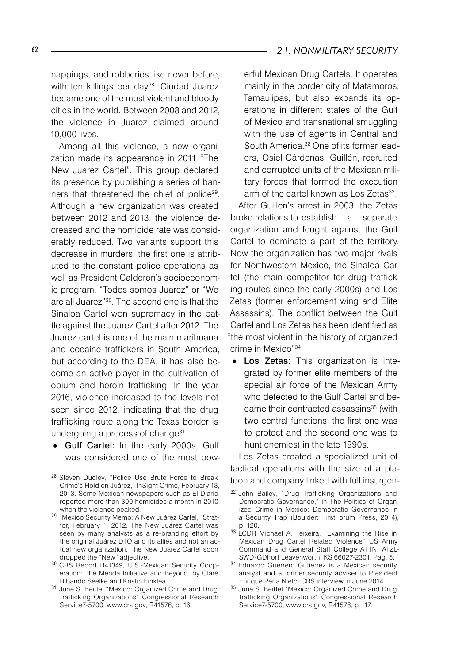nappings, and robberies like never before, with ten killings per day<sup>28</sup>. Ciudad Juarez became one of the most violent and bloody cities in the world. Between 2008 and 2012, the violence in Juarez claimed around 10,000 lives.

Among all this violence, a new organization made its appearance in 2011 "The New Juarez Cartel". This group declared its presence by publishing a series of banners that threatened the chief of police<sup>29</sup>. Although a new organization was created between 2012 and 2013, the violence decreased and the homicide rate was considerably reduced. Two variants support this decrease in murders: the first one is attributed to the constant police operations as well as President Calderon's socioeconomic program. "Todos somos Juarez" or "We are all Juarez"30. The second one is that the Sinaloa Cartel won supremacy in the battle against the Juarez Cartel after 2012. The Juarez cartel is one of the main marihuana and cocaine traffickers in South America, but according to the DEA, it has also become an active player in the cultivation of opium and heroin trafficking. In the year 2016, violence increased to the levels not seen since 2012, indicating that the drug trafficking route along the Texas border is undergoing a process of change<sup>31</sup>.

• Gulf Cartel: In the early 2000s, Gulf was considered one of the most powerful Mexican Drug Cartels. It operates mainly in the border city of Matamoros, Tamaulipas, but also expands its operations in different states of the Gulf of Mexico and transnational smuggling with the use of agents in Central and South America.<sup>32</sup> One of its former leaders, Osiel Cárdenas, Guillén, recruited and corrupted units of the Mexican military forces that formed the execution arm of the cartel known as Los Zetas<sup>33</sup>.

After Guillen's arrest in 2003, the Zetas broke relations to establish a separate organization and fought against the Gulf Cartel to dominate a part of the territory. Now the organization has two major rivals for Northwestern Mexico, the Sinaloa Cartel (the main competitor for drug trafficking routes since the early 2000s) and Los Zetas (former enforcement wing and Elite Assassins). The conflict between the Gulf Cartel and Los Zetas has been identified as "the most violent in the history of organized crime in Mexico"34.

Los Zetas: This organization is integrated by former elite members of the special air force of the Mexican Army who defected to the Gulf Cartel and became their contracted assassins<sup>35</sup> (with two central functions, the first one was to protect and the second one was to hunt enemies) in the late 1990s.

Los Zetas created a specialized unit of tactical operations with the size of a platoon and company linked with full insurgen-

- <sup>34</sup> Eduardo Guerrero Gutierrez is a Mexican security analyst and a former security adviser to President Enrique Peńa Nieto. CRS interview in June 2014.
- 35 June S. Beittel "Mexico: Organized Crime and Drug Trafficking Organizations" Congressional Research Service7-5700, www.crs.gov, R41576, p. 17.

<sup>28</sup> Steven Dudley, "Police Use Brute Force to Break Crime's Hold on Juárez," InSight Crime, February 13, 2013. Some Mexican newspapers such as El Diario reported more than 300 homicides a month in 2010 when the violence peaked.

<sup>29</sup> "Mexico Security Memo: A New Juárez Cartel," Stratfor, February 1, 2012. The New Juárez Cartel was seen by many analysts as a re-branding effort by the original Juárez DTO and its allies and not an actual new organization. The New Juárez Cartel soon dropped the "New" adjective.

<sup>30</sup> CRS Report R41349, U.S.-Mexican Security Cooperation: The Mérida Initiative and Beyond, by Clare Ribando Seelke and Kristin Finklea

<sup>31</sup> June S. Beittel "Mexico: Organized Crime and Drug Trafficking Organizations" Congressional Research Service7-5700, www.crs.gov, R41576, p. 16.

<sup>32</sup> John Bailey, "Drug Trafficking Organizations and Democratic Governance," in The Politics of Organized Crime in Mexico: Democratic Governance in a Security Trap (Boulder: FirstForum Press, 2014), p. 120.

<sup>33</sup> LCDR Michael A. Teixeira, "Examining the Rise in Mexican Drug Cartel Related Violence" US Army Command and General Staff College ATTN: ATZL-SWD-GDFort Leavenworth, KS 66027-2301. Pag. 5.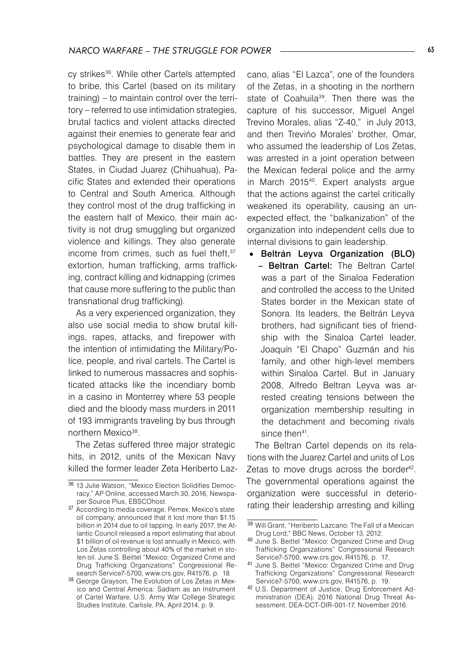cy strikes<sup>36</sup>. While other Cartels attempted to bribe, this Cartel (based on its military training) – to maintain control over the territory – referred to use intimidation strategies, brutal tactics and violent attacks directed against their enemies to generate fear and psychological damage to disable them in battles. They are present in the eastern States, in Ciudad Juarez (Chihuahua), Pacific States and extended their operations to Central and South America. Although they control most of the drug trafficking in the eastern half of Mexico, their main activity is not drug smuggling but organized violence and killings. They also generate income from crimes, such as fuel theft, 37 extortion, human trafficking, arms trafficking, contract killing and kidnapping (crimes that cause more suffering to the public than transnational drug trafficking).

As a very experienced organization, they also use social media to show brutal killings, rapes, attacks, and firepower with the intention of intimidating the Military/Police, people, and rival cartels. The Cartel is linked to numerous massacres and sophisticated attacks like the incendiary bomb in a casino in Monterrey where 53 people died and the bloody mass murders in 2011 of 193 immigrants traveling by bus through northern Mexico<sup>38</sup>.

The Zetas suffered three major strategic hits, in 2012, units of the Mexican Navy killed the former leader Zeta Heriberto Laz-

cano, alias "El Lazca", one of the founders of the Zetas, in a shooting in the northern state of Coahuila<sup>39</sup>. Then there was the capture of his successor, Miguel Angel Trevino Morales, alias "Z-40," in July 2013, and then Trevińo Morales' brother, Omar, who assumed the leadership of Los Zetas, was arrested in a joint operation between the Mexican federal police and the army in March 2015<sup>40</sup>. Expert analysts arque that the actions against the cartel critically weakened its operability, causing an unexpected effect, the "balkanization" of the organization into independent cells due to internal divisions to gain leadership.

• Beltrán Leyva Organization (BLO) – Beltran Cartel: The Beltran Cartel was a part of the Sinaloa Federation and controlled the access to the United States border in the Mexican state of Sonora. Its leaders, the Beltrán Leyva brothers, had significant ties of friendship with the Sinaloa Cartel leader, Joaquín "El Chapo" Guzmán and his family, and other high-level members within Sinaloa Cartel. But in January 2008, Alfredo Beltran Leyva was arrested creating tensions between the organization membership resulting in the detachment and becoming rivals since then<sup>41</sup>.

The Beltran Cartel depends on its relations with the Juarez Cartel and units of Los Zetas to move drugs across the border<sup>42</sup>. The governmental operations against the organization were successful in deteriorating their leadership arresting and killing

<sup>36</sup> 13 Julie Watson, "Mexico Election Solidifies Democracy," AP Online, accessed March 30, 2016, Newspaper Source Plus, EBSCOhost.

<sup>&</sup>lt;sup>37</sup> According to media coverage, Pemex, Mexico's state oil company, announced that it lost more than \$1.15 billion in 2014 due to oil tapping. In early 2017, the Atlantic Council released a report estimating that about \$1 billion of oil revenue is lost annually in Mexico, with Los Zetas controlling about 40% of the market in stolen oil. June S. Beittel "Mexico: Organized Crime and Drug Trafficking Organizations" Congressional Research Service7-5700, www.crs.gov, R41576, p. 18

<sup>38</sup> George Grayson, The Evolution of Los Zetas in Mexico and Central America: Sadism as an Instrument of Cartel Warfare, U.S. Army War College Strategic Studies Institute, Carlisle, PA, April 2014, p. 9.

<sup>39</sup> Will Grant, "Heriberto Lazcano: The Fall of a Mexican Drug Lord," BBC News, October 13, 2012.

<sup>40</sup> June S. Beittel "Mexico: Organized Crime and Drug Trafficking Organizations" Congressional Research Service7-5700, www.crs.gov, R41576, p. 17.

<sup>41</sup> June S. Beittel "Mexico: Organized Crime and Drug Trafficking Organizations" Congressional Research Service7-5700, www.crs.gov, R41576, p. 19.

<sup>42</sup> U.S. Department of Justice, Drug Enforcement Administration (DEA), 2016 National Drug Threat Assessment, DEA-DCT-DIR-001-17, November 2016.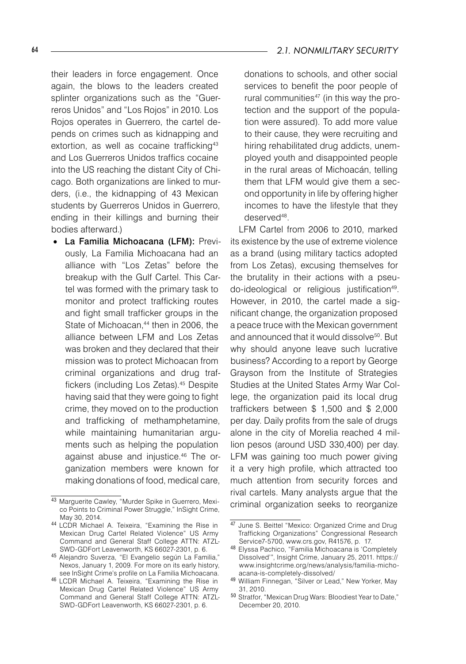their leaders in force engagement. Once again, the blows to the leaders created splinter organizations such as the "Guerreros Unidos" and "Los Rojos" in 2010. Los Rojos operates in Guerrero, the cartel depends on crimes such as kidnapping and extortion, as well as cocaine trafficking<sup>43</sup> and Los Guerreros Unidos traffics cocaine into the US reaching the distant City of Chicago. Both organizations are linked to murders, (i.e., the kidnapping of 43 Mexican students by Guerreros Unidos in Guerrero, ending in their killings and burning their bodies afterward.)

• La Familia Michoacana (LFM): Previously, La Familia Michoacana had an alliance with "Los Zetas" before the breakup with the Gulf Cartel. This Cartel was formed with the primary task to monitor and protect trafficking routes and fight small trafficker groups in the State of Michoacan.<sup>44</sup> then in 2006, the alliance between LFM and Los Zetas was broken and they declared that their mission was to protect Michoacan from criminal organizations and drug traffickers (including Los Zetas).45 Despite having said that they were going to fight crime, they moved on to the production and trafficking of methamphetamine, while maintaining humanitarian arguments such as helping the population against abuse and injustice.46 The organization members were known for making donations of food, medical care,

### 64 *2.1. NONMILITARY SECURITY*

donations to schools, and other social services to benefit the poor people of rural communities<sup>47</sup> (in this way the protection and the support of the population were assured). To add more value to their cause, they were recruiting and hiring rehabilitated drug addicts, unemployed youth and disappointed people in the rural areas of Michoacán, telling them that LFM would give them a second opportunity in life by offering higher incomes to have the lifestyle that they deserved48.

LFM Cartel from 2006 to 2010, marked its existence by the use of extreme violence as a brand (using military tactics adopted from Los Zetas), excusing themselves for the brutality in their actions with a pseudo-ideological or religious justification<sup>49</sup>. However, in 2010, the cartel made a significant change, the organization proposed a peace truce with the Mexican government and announced that it would dissolve<sup>50</sup>. But why should anyone leave such lucrative business? According to a report by George Grayson from the Institute of Strategies Studies at the United States Army War College, the organization paid its local drug traffickers between \$ 1,500 and \$ 2,000 per day. Daily profits from the sale of drugs alone in the city of Morelia reached 4 million pesos (around USD 330,400) per day. LFM was gaining too much power giving it a very high profile, which attracted too much attention from security forces and rival cartels. Many analysts argue that the criminal organization seeks to reorganize

<sup>43</sup> Marguerite Cawley, "Murder Spike in Guerrero, Mexico Points to Criminal Power Struggle," InSight Crime, May 30, 2014.

<sup>44</sup> LCDR Michael A. Teixeira, "Examining the Rise in Mexican Drug Cartel Related Violence" US Army Command and General Staff College ATTN: ATZL-SWD-GDFort Leavenworth, KS 66027-2301, p. 6.

<sup>45</sup> Alejandro Suverza, "El Evangelio según La Familia," Nexos, January 1, 2009. For more on its early history, see InSight Crime's profile on La Familia Michoacana.

<sup>46</sup> LCDR Michael A. Teixeira, "Examining the Rise in Mexican Drug Cartel Related Violence" US Army Command and General Staff College ATTN: ATZL-SWD-GDFort Leavenworth, KS 66027-2301, p. 6.

<sup>47</sup> June S. Beittel "Mexico: Organized Crime and Drug Trafficking Organizations" Congressional Research Service7-5700, www.crs.gov, R41576, p. 17.

<sup>48</sup> Elyssa Pachico, "Familia Michoacana is 'Completely Dissolved'", Insight Crime, January 25, 2011. https:// www.insightcrime.org/news/analysis/familia-michoacana-is-completely-dissolved/

<sup>49</sup> William Finnegan, "Silver or Lead," New Yorker, May 31, 2010.

<sup>50</sup> Stratfor, "Mexican Drug Wars: Bloodiest Year to Date," December 20, 2010.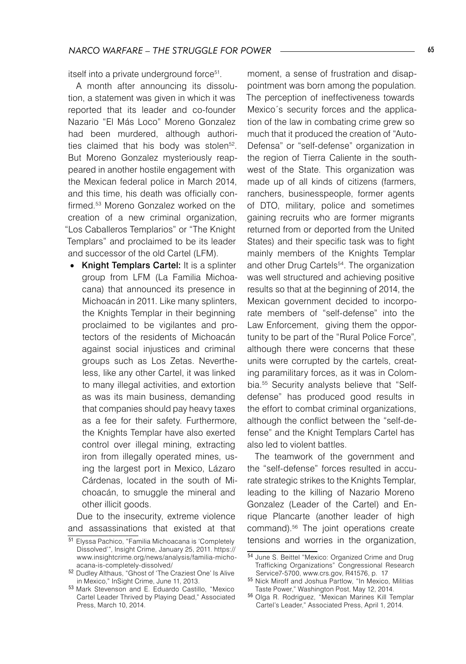itself into a private underground force<sup>51</sup>.

A month after announcing its dissolution, a statement was given in which it was reported that its leader and co-founder Nazario "El Más Loco" Moreno Gonzalez had been murdered, although authorities claimed that his body was stolen<sup>52</sup>. But Moreno Gonzalez mysteriously reappeared in another hostile engagement with the Mexican federal police in March 2014, and this time, his death was officially confirmed.<sup>53</sup> Moreno Gonzalez worked on the creation of a new criminal organization, "Los Caballeros Templarios" or "The Knight Templars" and proclaimed to be its leader and successor of the old Cartel (LFM).

• Knight Templars Cartel: It is a splinter group from LFM (La Familia Michoacana) that announced its presence in Michoacán in 2011. Like many splinters, the Knights Templar in their beginning proclaimed to be vigilantes and protectors of the residents of Michoacán against social injustices and criminal groups such as Los Zetas. Nevertheless, like any other Cartel, it was linked to many illegal activities, and extortion as was its main business, demanding that companies should pay heavy taxes as a fee for their safety. Furthermore, the Knights Templar have also exerted control over illegal mining, extracting iron from illegally operated mines, using the largest port in Mexico, Lázaro Cárdenas, located in the south of Michoacán, to smuggle the mineral and other illicit goods.

Due to the insecurity, extreme violence and assassinations that existed at that moment, a sense of frustration and disappointment was born among the population. The perception of ineffectiveness towards Mexico´s security forces and the application of the law in combating crime grew so much that it produced the creation of "Auto-Defensa" or "self-defense" organization in the region of Tierra Caliente in the southwest of the State. This organization was made up of all kinds of citizens (farmers, ranchers, businesspeople, former agents of DTO, military, police and sometimes gaining recruits who are former migrants returned from or deported from the United States) and their specific task was to fight mainly members of the Knights Templar and other Drug Cartels<sup>54</sup>. The organization was well structured and achieving positive results so that at the beginning of 2014, the Mexican government decided to incorporate members of "self-defense" into the Law Enforcement, giving them the opportunity to be part of the "Rural Police Force", although there were concerns that these units were corrupted by the cartels, creating paramilitary forces, as it was in Colombia.55 Security analysts believe that "Selfdefense" has produced good results in the effort to combat criminal organizations, although the conflict between the "self-defense" and the Knight Templars Cartel has also led to violent battles.

The teamwork of the government and the "self-defense" forces resulted in accurate strategic strikes to the Knights Templar, leading to the killing of Nazario Moreno Gonzalez (Leader of the Cartel) and Enrique Plancarte (another leader of high command).56 The joint operations create tensions and worries in the organization,

<sup>51</sup> Elyssa Pachico, "Familia Michoacana is 'Completely Dissolved'", Insight Crime, January 25, 2011. https:// www.insightcrime.org/news/analysis/familia-michoacana-is-completely-dissolved/

<sup>52</sup> Dudley Althaus, "Ghost of 'The Craziest One' Is Alive in Mexico," InSight Crime, June 11, 2013.

<sup>53</sup> Mark Stevenson and E. Eduardo Castillo, "Mexico Cartel Leader Thrived by Playing Dead," Associated Press, March 10, 2014.

<sup>54</sup> June S. Beittel "Mexico: Organized Crime and Drug Trafficking Organizations" Congressional Research Service7-5700, www.crs.gov, R41576, p. 17

<sup>55</sup> Nick Miroff and Joshua Partlow, "In Mexico, Militias Taste Power," Washington Post, May 12, 2014.

<sup>56</sup> Olga R. Rodriguez, "Mexican Marines Kill Templar Cartel's Leader," Associated Press, April 1, 2014.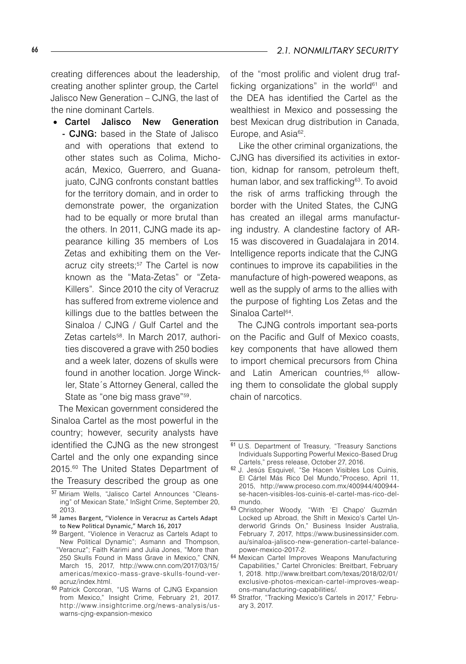creating differences about the leadership, creating another splinter group, the Cartel Jalisco New Generation – CJNG, the last of the nine dominant Cartels.

• Cartel Jalisco New Generation - CJNG: based in the State of Jalisco and with operations that extend to other states such as Colima, Michoacán, Mexico, Guerrero, and Guanajuato, CJNG confronts constant battles for the territory domain, and in order to demonstrate power, the organization had to be equally or more brutal than the others. In 2011, CJNG made its appearance killing 35 members of Los Zetas and exhibiting them on the Veracruz city streets;<sup>57</sup> The Cartel is now known as the "Mata-Zetas" or "Zeta-Killers". Since 2010 the city of Veracruz has suffered from extreme violence and killings due to the battles between the Sinaloa / CJNG / Gulf Cartel and the Zetas cartels<sup>58</sup>. In March 2017, authorities discovered a grave with 250 bodies and a week later, dozens of skulls were found in another location. Jorge Winckler, State´s Attorney General, called the State as "one big mass grave"59.

The Mexican government considered the Sinaloa Cartel as the most powerful in the country; however, security analysts have identified the CJNG as the new strongest Cartel and the only one expanding since 2015.<sup>60</sup> The United States Department of the Treasury described the group as one

of the "most prolific and violent drug trafficking organizations" in the world $61$  and the DEA has identified the Cartel as the wealthiest in Mexico and possessing the best Mexican drug distribution in Canada, Europe, and Asia<sup>62</sup>.

Like the other criminal organizations, the CJNG has diversified its activities in extortion, kidnap for ransom, petroleum theft. human labor, and sex trafficking<sup>63</sup>. To avoid the risk of arms trafficking through the border with the United States, the CJNG has created an illegal arms manufacturing industry. A clandestine factory of AR-15 was discovered in Guadalajara in 2014. Intelligence reports indicate that the CJNG continues to improve its capabilities in the manufacture of high-powered weapons, as well as the supply of arms to the allies with the purpose of fighting Los Zetas and the Sinaloa Cartel<sup>64</sup>.

The CJNG controls important sea-ports on the Pacific and Gulf of Mexico coasts, key components that have allowed them to import chemical precursors from China and Latin American countries,<sup>65</sup> allowing them to consolidate the global supply chain of narcotics.

<sup>57</sup> Miriam Wells, "Jalisco Cartel Announces "Cleansing" of Mexican State," InSight Crime, September 20, 2013.

<sup>58</sup> James Bargent, "Violence in Veracruz as Cartels Adapt to New Political Dynamic," March 16, 2017

<sup>59</sup> Bargent, "Violence in Veracruz as Cartels Adapt to New Political Dynamic"; Asmann and Thompson, "Veracruz"; Faith Karimi and Julia Jones, "More than 250 Skulls Found in Mass Grave in Mexico," CNN, March 15, 2017, http://www.cnn.com/2017/03/15/ americas/mexico-mass-grave-skulls-found-veracruz/index.html.

<sup>60</sup> Patrick Corcoran, "US Warns of CJNG Expansion from Mexico," Insight Crime, February 21, 2017. http://w w w.insightcrime.org/news-analysis/uswarns-cjng-expansion-mexico

<sup>61</sup> U.S. Department of Treasury, "Treasury Sanctions Individuals Supporting Powerful Mexico-Based Drug Cartels," press release, October 27, 2016.

<sup>62</sup> J. Jesús Esquivel, "Se Hacen Visibles Los Cuinis, El Cártel Más Rico Del Mundo,"Proceso, April 11, 2015, http://www.proceso.com.mx/400944/400944 se-hacen-visibles-los-cuinis-el-cartel-mas-rico-delmundo.

<sup>63</sup> Christopher Woody, "With 'El Chapo' Guzmán Locked up Abroad, the Shift in Mexico's Cartel Underworld Grinds On," Business Insider Australia, February 7, 2017, https://www.businessinsider.com. au/sinaloa-jalisco-new-generation-cartel-balancepower-mexico-2017-2.

<sup>64</sup> Mexican Cartel Improves Weapons Manufacturing Capabilities," Cartel Chronicles: Breitbart, February 1, 2018. http://www.breitbart.com/texas/2018/02/01/ exclusive-photos-mexican-cartel-improves-weapons-manufacturing-capabilities/.

<sup>65</sup> Stratfor, "Tracking Mexico's Cartels in 2017," February 3, 2017.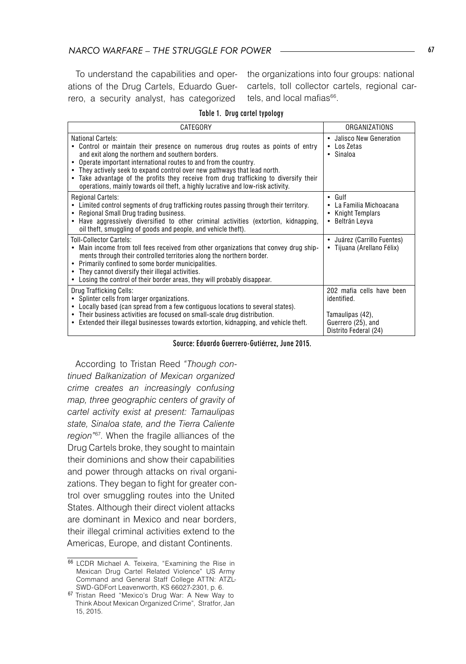To understand the capabilities and operations of the Drug Cartels, Eduardo Guerrero, a security analyst, has categorized

the organizations into four groups: national cartels, toll collector cartels, regional cartels, and local mafias<sup>66</sup>.

#### Table 1. Drug cartel typology

| CATEGORY                                                                                                                                                                                                                                                                                                                                                                                                                                                                                                       | ORGANIZATIONS                                                                                               |
|----------------------------------------------------------------------------------------------------------------------------------------------------------------------------------------------------------------------------------------------------------------------------------------------------------------------------------------------------------------------------------------------------------------------------------------------------------------------------------------------------------------|-------------------------------------------------------------------------------------------------------------|
| National Cartels:<br>Control or maintain their presence on numerous drug routes as points of entry<br>and exit along the northern and southern borders.<br>Operate important international routes to and from the country.<br>$\bullet$<br>They actively seek to expand control over new pathways that lead north.<br>$\bullet$<br>Take advantage of the profits they receive from drug trafficking to diversify their<br>٠<br>operations, mainly towards oil theft, a highly lucrative and low-risk activity. | • Jalisco New Generation<br>$\cdot$ Los Zetas<br>• Sinaloa                                                  |
| <b>Regional Cartels:</b><br>Limited control segments of drug trafficking routes passing through their territory.<br>Regional Small Drug trading business.<br>$\bullet$<br>Have aggressively diversified to other criminal activities (extortion, kidnapping,<br>$\bullet$<br>oil theft, smuggling of goods and people, and vehicle theft).                                                                                                                                                                     | $\cdot$ Gulf<br>La Familia Michoacana<br><b>Knight Templars</b><br>Beltrán Leyva<br>٠                       |
| <b>Toll-Collector Cartels:</b><br>Main income from toll fees received from other organizations that convey drug ship-<br>$\bullet$<br>ments through their controlled territories along the northern border.<br>Primarily confined to some border municipalities.<br>٠<br>They cannot diversify their illegal activities.<br>٠<br>Losing the control of their border areas, they will probably disappear.<br>٠                                                                                                  | Juárez (Carrillo Fuentes)<br>• Tijuana (Arellano Félix)                                                     |
| Drug Trafficking Cells:<br>Splinter cells from larger organizations.<br>Locally based (can spread from a few contiguous locations to several states).<br>Their business activities are focused on small-scale drug distribution.<br>$\bullet$<br>Extended their illegal businesses towards extortion, kidnapping, and vehicle theft.<br>٠                                                                                                                                                                      | 202 mafia cells have been<br>identified.<br>Tamaulipas (42),<br>Guerrero (25), and<br>Distrito Federal (24) |

Source: Eduardo Guerrero-Gutiérrez, June 2015.

According to Tristan Reed "Though con*tinued Balkanization of Mexican organized crime creates an increasingly confusing map, three geographic centers of gravity of cartel activity exist at present: Tamaulipas state, Sinaloa state, and the Tierra Caliente region"*<sup>67</sup>. When the fragile alliances of the Drug Cartels broke, they sought to maintain their dominions and show their capabilities and power through attacks on rival organizations. They began to fight for greater control over smuggling routes into the United States. Although their direct violent attacks are dominant in Mexico and near borders, their illegal criminal activities extend to the Americas, Europe, and distant Continents.

<sup>66</sup> LCDR Michael A. Teixeira, "Examining the Rise in Mexican Drug Cartel Related Violence" US Army Command and General Staff College ATTN: ATZL-SWD-GDFort Leavenworth, KS 66027-2301, p. 6.

<sup>67</sup> Tristan Reed "Mexico's Drug War: A New Way to Think About Mexican Organized Crime", Stratfor, Jan 15, 2015.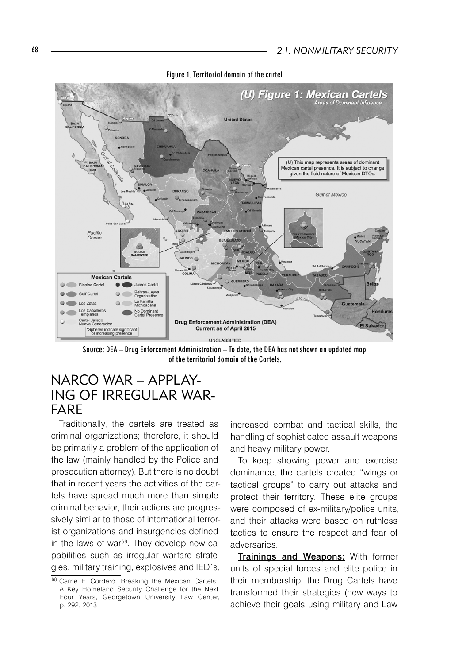

Figure 1. Territorial domain of the cartel

Source: DEA – Drug Enforcement Administration – To date, the DEA has not shown an updated map of the territorial domain of the Cartels.

# NARCO WAR – APPLAY-ING OF IRRFGULAR WAR-FARE

Traditionally, the cartels are treated as criminal organizations; therefore, it should be primarily a problem of the application of the law (mainly handled by the Police and prosecution attorney). But there is no doubt that in recent years the activities of the cartels have spread much more than simple criminal behavior, their actions are progressively similar to those of international terrorist organizations and insurgencies defined in the laws of war<sup>68</sup>. They develop new capabilities such as irregular warfare strategies, military training, explosives and IED´s,

increased combat and tactical skills, the handling of sophisticated assault weapons and heavy military power.

To keep showing power and exercise dominance, the cartels created "wings or tactical groups" to carry out attacks and protect their territory. These elite groups were composed of ex-military/police units, and their attacks were based on ruthless tactics to ensure the respect and fear of adversaries.

Trainings and Weapons: With former units of special forces and elite police in their membership, the Drug Cartels have transformed their strategies (new ways to achieve their goals using military and Law

<sup>68</sup> Carrie F. Cordero, Breaking the Mexican Cartels: A Key Homeland Security Challenge for the Next Four Years, Georgetown University Law Center, p. 292, 2013.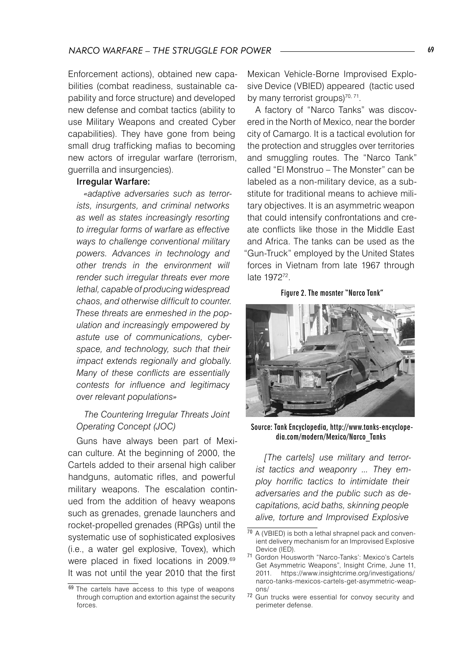Enforcement actions), obtained new capabilities (combat readiness, sustainable capability and force structure) and developed new defense and combat tactics (ability to use Military Weapons and created Cyber capabilities). They have gone from being small drug trafficking mafias to becoming new actors of irregular warfare (terrorism, guerrilla and insurgencies).

### Irregular Warfare:

*«adaptive adversaries such as terrorists, insurgents, and criminal networks as well as states increasingly resorting to irregular forms of warfare as effective ways to challenge conventional military powers. Advances in technology and other trends in the environment will render such irregular threats ever more lethal, capable of producing widespread chaos, and otherwise difficult to counter. These threats are enmeshed in the population and increasingly empowered by astute use of communications, cyberspace, and technology, such that their impact extends regionally and globally. Many of these conflicts are essentially contests for influence and legitimacy over relevant populations»* 

### *The Countering Irregular Threats Joint Operating Concept (JOC)*

Guns have always been part of Mexican culture. At the beginning of 2000, the Cartels added to their arsenal high caliber handguns, automatic rifles, and powerful military weapons. The escalation continued from the addition of heavy weapons such as grenades, grenade launchers and rocket-propelled grenades (RPGs) until the systematic use of sophisticated explosives (i.e., a water gel explosive, Tovex), which were placed in fixed locations in 2009.69 It was not until the year 2010 that the first

Mexican Vehicle-Borne Improvised Explosive Device (VBIED) appeared (tactic used by many terrorist groups)<sup>70, 71</sup>.

A factory of "Narco Tanks" was discovered in the North of Mexico, near the border city of Camargo. It is a tactical evolution for the protection and struggles over territories and smuggling routes. The "Narco Tank" called "El Monstruo – The Monster" can be labeled as a non-military device, as a substitute for traditional means to achieve military objectives. It is an asymmetric weapon that could intensify confrontations and create conflicts like those in the Middle East and Africa. The tanks can be used as the "Gun-Truck" employed by the United States forces in Vietnam from late 1967 through late 197272.

#### Figure 2. The mosnter "Narco Tank"



Source: Tank Encyclopedia, http://www.tanks-encyclopedia.com/modern/Mexico/Narco\_Tanks

*[The cartels] use military and terrorist tactics and weaponry ... They employ horrific tactics to intimidate their adversaries and the public such as decapitations, acid baths, skinning people alive, torture and Improvised Explosive* 

<sup>&</sup>lt;sup>69</sup> The cartels have access to this type of weapons through corruption and extortion against the security forces.

<sup>70</sup> A (VBIED) is both a lethal shrapnel pack and convenient delivery mechanism for an Improvised Explosive Device (IED).

<sup>71</sup> Gordon Housworth "Narco-Tanks': Mexico's Cartels Get Asymmetric Weapons", Insight Crime, June 11, 2011. https://www.insightcrime.org/investigations/ narco-tanks-mexicos-cartels-get-asymmetric-weapons/

<sup>72</sup> Gun trucks were essential for convoy security and perimeter defense.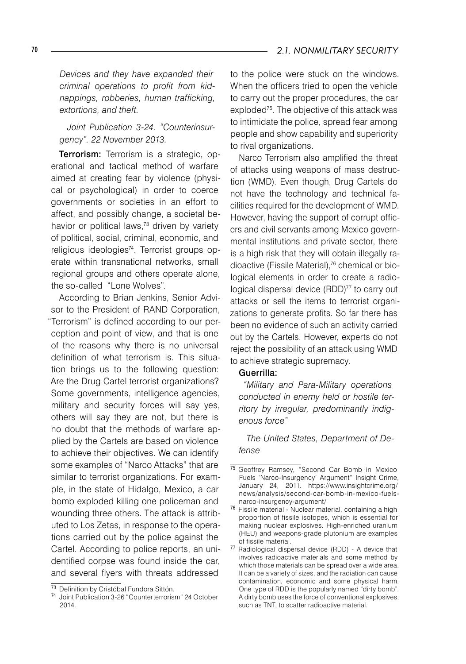*Devices and they have expanded their criminal operations to profit from kidnappings, robberies, human trafficking, extortions, and theft.*

*Joint Publication 3-24. "Counterinsurgency". 22 November 2013.*

**Terrorism:** Terrorism is a strategic, operational and tactical method of warfare aimed at creating fear by violence (physical or psychological) in order to coerce governments or societies in an effort to affect, and possibly change, a societal behavior or political laws,<sup>73</sup> driven by variety of political, social, criminal, economic, and religious ideologies<sup>74</sup>. Terrorist groups operate within transnational networks, small regional groups and others operate alone, the so-called "Lone Wolves".

According to Brian Jenkins, Senior Advisor to the President of RAND Corporation, "Terrorism" is defined according to our perception and point of view, and that is one of the reasons why there is no universal definition of what terrorism is. This situation brings us to the following question: Are the Drug Cartel terrorist organizations? Some governments, intelligence agencies, military and security forces will say yes, others will say they are not, but there is no doubt that the methods of warfare applied by the Cartels are based on violence to achieve their objectives. We can identify some examples of "Narco Attacks" that are similar to terrorist organizations. For example, in the state of Hidalgo, Mexico, a car bomb exploded killing one policeman and wounding three others. The attack is attributed to Los Zetas, in response to the operations carried out by the police against the Cartel. According to police reports, an unidentified corpse was found inside the car, and several flyers with threats addressed

to the police were stuck on the windows. When the officers tried to open the vehicle to carry out the proper procedures, the car exploded<sup>75</sup>. The objective of this attack was to intimidate the police, spread fear among people and show capability and superiority to rival organizations.

Narco Terrorism also amplified the threat of attacks using weapons of mass destruction (WMD). Even though, Drug Cartels do not have the technology and technical facilities required for the development of WMD. However, having the support of corrupt officers and civil servants among Mexico governmental institutions and private sector, there is a high risk that they will obtain illegally radioactive (Fissile Material),76 chemical or biological elements in order to create a radiological dispersal device (RDD)<sup>77</sup> to carry out attacks or sell the items to terrorist organizations to generate profits. So far there has been no evidence of such an activity carried out by the Cartels. However, experts do not reject the possibility of an attack using WMD to achieve strategic supremacy.

#### Guerrilla:

*"Military and Para-Military operations conducted in enemy held or hostile territory by irregular, predominantly indigenous force"*

*The United States, Department of Defense*

<sup>73</sup> Definition by Cristóbal Fundora Sittón.

<sup>74</sup> Joint Publication 3-26 "Counterterrorism" 24 October 2014.

<sup>75</sup> Geoffrey Ramsey, "Second Car Bomb in Mexico Fuels 'Narco-Insurgency' Argument" Insight Crime, January 24, 2011. https://www.insightcrime.org/ news/analysis/second-car-bomb-in-mexico-fuelsnarco-insurgency-argument/

<sup>76</sup> Fissile material - Nuclear material, containing a high proportion of fissile isotopes, which is essential for making nuclear explosives. High-enriched uranium (HEU) and weapons-grade plutonium are examples of fissile material.

<sup>77</sup> Radiological dispersal device (RDD) - A device that involves radioactive materials and some method by which those materials can be spread over a wide area. It can be a variety of sizes, and the radiation can cause contamination, economic and some physical harm. One type of RDD is the popularly named "dirty bomb". A dirty bomb uses the force of conventional explosives, such as TNT, to scatter radioactive material.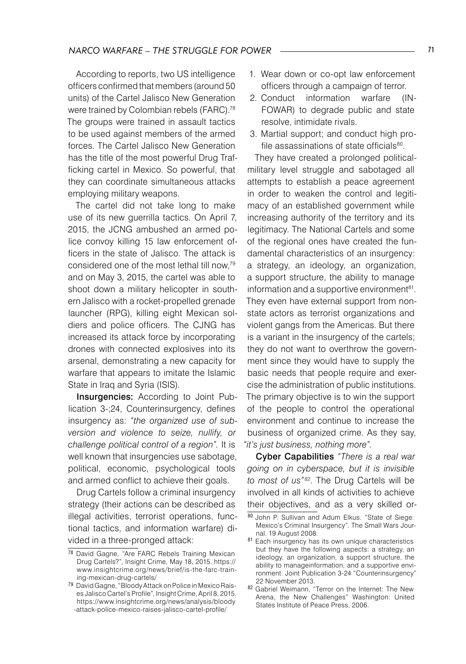According to reports, two US intelligence officers confirmed that members (around 50 units) of the Cartel Jalisco New Generation were trained by Colombian rebels (FARC).<sup>78</sup> The groups were trained in assault tactics to be used against members of the armed forces. The Cartel Jalisco New Generation has the title of the most powerful Drug Trafficking cartel in Mexico. So powerful, that they can coordinate simultaneous attacks employing military weapons.

The cartel did not take long to make use of its new guerrilla tactics. On April 7, 2015, the JCNG ambushed an armed police convoy killing 15 law enforcement officers in the state of Jalisco. The attack is considered one of the most lethal till now,<sup>79</sup> and on May 3, 2015, the cartel was able to shoot down a military helicopter in southern Jalisco with a rocket-propelled grenade launcher (RPG), killing eight Mexican soldiers and police officers. The CJNG has increased its attack force by incorporating drones with connected explosives into its arsenal, demonstrating a new capacity for warfare that appears to imitate the Islamic State in Iraq and Syria (ISIS).

Insurgencies: According to Joint Publication 3-;24, Counterinsurgency, defines insurgency as: *"the organized use of subversion and violence to seize, nullify, or challenge political control of a region".* It is well known that insurgencies use sabotage, political, economic, psychological tools and armed conflict to achieve their goals.

Drug Cartels follow a criminal insurgency strategy (their actions can be described as illegal activities, terrorist operations, functional tactics, and information warfare) divided in a three-pronged attack:

- 1. Wear down or co-opt law enforcement officers through a campaign of terror.
- 2. Conduct information warfare (IN-FOWAR) to degrade public and state resolve, intimidate rivals.
- 3. Martial support; and conduct high profile assassinations of state officials<sup>80</sup>.

They have created a prolonged politicalmilitary level struggle and sabotaged all attempts to establish a peace agreement in order to weaken the control and legitimacy of an established government while increasing authority of the territory and its legitimacy. The National Cartels and some of the regional ones have created the fundamental characteristics of an insurgency: a strategy, an ideology, an organization, a support structure, the ability to manage information and a supportive environment $81$ . They even have external support from nonstate actors as terrorist organizations and violent gangs from the Americas. But there is a variant in the insurgency of the cartels; they do not want to overthrow the government since they would have to supply the basic needs that people require and exercise the administration of public institutions. The primary objective is to win the support of the people to control the operational environment and continue to increase the business of organized crime. As they say, *"it's just business, nothing more".*

Cyber Capabilities *"There is a real war going on in cyberspace, but it is invisible to most of us" <sup>82</sup>*. The Drug Cartels will be involved in all kinds of activities to achieve their objectives, and as a very skilled or-

<sup>78</sup> David Gagne, "Are FARC Rebels Training Mexican Drug Cartels?", Insight Crime, May 18, 2015. https:// www.insightcrime.org/news/brief/is-the-farc-training-mexican-drug-cartels/

<sup>79</sup> David Gagne, "Bloody Attack on Police in Mexico Raises Jalisco Cartel's Profile", Insight Crime, April 8, 2015. https://www.insightcrime.org/news/analysis/bloody -attack-police-mexico-raises-jalisco-cartel-profile/

<sup>80</sup> John P. Sullivan and Adum Elkus. "State of Siege: Mexico's Criminal Insurgency". The Small Wars Journal. 19 August 2008.

<sup>81</sup> Each insurgency has its own unique characteristics but they have the following aspects: a strategy, an ideology, an organization, a support structure, the ability to manageinformation, and a supportive environment. Joint Publication 3-24 "Counterinsurgency" 22 November 2013.

<sup>82</sup> Gabriel Weimann, "Terror on the Internet: The New Arena, the New Challenges" Washington: United States Institute of Peace Press, 2006.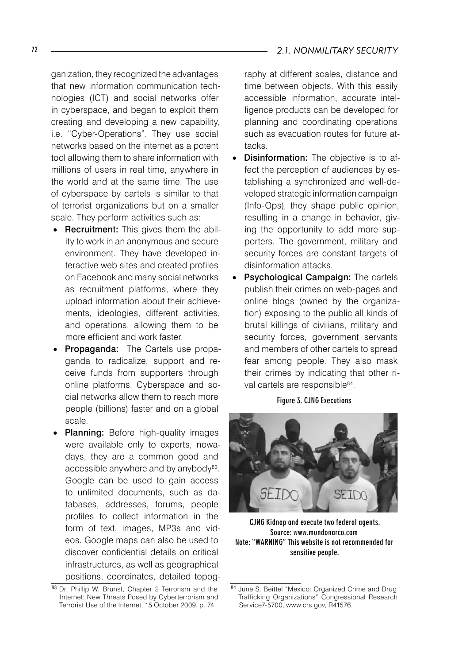ganization, they recognized the advantages that new information communication technologies (ICT) and social networks offer in cyberspace, and began to exploit them creating and developing a new capability, i.e. "Cyber-Operations". They use social networks based on the internet as a potent tool allowing them to share information with millions of users in real time, anywhere in the world and at the same time. The use of cyberspace by cartels is similar to that of terrorist organizations but on a smaller scale. They perform activities such as:

- Recruitment: This gives them the ability to work in an anonymous and secure environment. They have developed interactive web sites and created profiles on Facebook and many social networks as recruitment platforms, where they upload information about their achievements, ideologies, different activities, and operations, allowing them to be more efficient and work faster.
- Propaganda: The Cartels use propaganda to radicalize, support and receive funds from supporters through online platforms. Cyberspace and social networks allow them to reach more people (billions) faster and on a global scale.
- Planning: Before high-quality images were available only to experts, nowadays, they are a common good and accessible anywhere and by anybody<sup>83</sup>. Google can be used to gain access to unlimited documents, such as databases, addresses, forums, people profiles to collect information in the form of text, images, MP3s and videos. Google maps can also be used to discover confidential details on critical infrastructures, as well as geographical positions, coordinates, detailed topog-

raphy at different scales, distance and time between objects. With this easily accessible information, accurate intelligence products can be developed for planning and coordinating operations such as evacuation routes for future attacks.

- **Disinformation:** The objective is to affect the perception of audiences by establishing a synchronized and well-developed strategic information campaign (Info-Ops), they shape public opinion, resulting in a change in behavior, giving the opportunity to add more supporters. The government, military and security forces are constant targets of disinformation attacks.
- Psychological Campaign: The cartels publish their crimes on web-pages and online blogs (owned by the organization) exposing to the public all kinds of brutal killings of civilians, military and security forces, government servants and members of other cartels to spread fear among people. They also mask their crimes by indicating that other rival cartels are responsible<sup>84</sup>.

#### Figure 3. CJNG Executions



CJNG Kidnap and execute two federal agents. Source: www.mundonarco.com Note: "WARNING" This website is not recommended for sensitive people.

<sup>83</sup> Dr. Phillip W. Brunst, Chapter 2 Terrorism and the Internet: New Threats Posed by Cyberterrorism and Terrorist Use of the Internet, 15 October 2009, p. 74.

<sup>84</sup> June S. Beittel "Mexico: Organized Crime and Drug Trafficking Organizations" Congressional Research Service7-5700, www.crs.gov, R41576.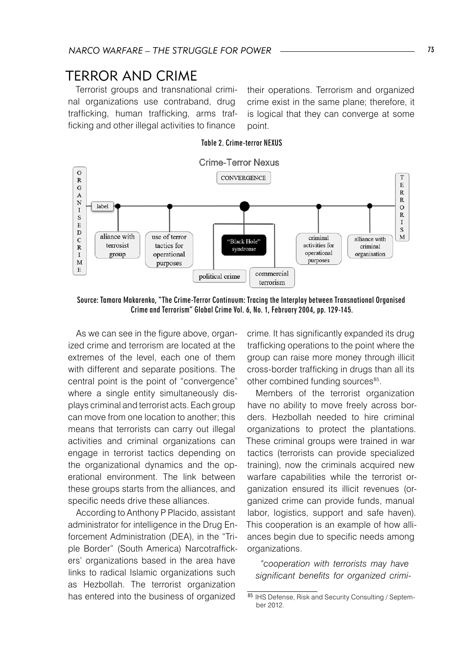# TERROR AND CRIME

Terrorist groups and transnational criminal organizations use contraband, drug trafficking, human trafficking, arms trafficking and other illegal activities to finance

their operations. Terrorism and organized crime exist in the same plane; therefore, it is logical that they can converge at some point.





Source: Tamara Makarenko, "The Crime-Terror Continuum: Tracing the Interplay between Transnational Organised Crime and Terrorism" Global Crime Vol. 6, No. 1, February 2004, pp. 129-145.

As we can see in the figure above, organized crime and terrorism are located at the extremes of the level, each one of them with different and separate positions. The central point is the point of "convergence" where a single entity simultaneously displays criminal and terrorist acts. Each group can move from one location to another; this means that terrorists can carry out illegal activities and criminal organizations can engage in terrorist tactics depending on the organizational dynamics and the operational environment. The link between these groups starts from the alliances, and specific needs drive these alliances.

According to Anthony P Placido, assistant administrator for intelligence in the Drug Enforcement Administration (DEA), in the "Triple Border" (South America) Narcotraffickers' organizations based in the area have links to radical Islamic organizations such as Hezbollah. The terrorist organization has entered into the business of organized

crime. It has significantly expanded its drug trafficking operations to the point where the group can raise more money through illicit cross-border trafficking in drugs than all its other combined funding sources<sup>85</sup>.

Members of the terrorist organization have no ability to move freely across borders. Hezbollah needed to hire criminal organizations to protect the plantations. These criminal groups were trained in war tactics (terrorists can provide specialized training), now the criminals acquired new warfare capabilities while the terrorist organization ensured its illicit revenues (organized crime can provide funds, manual labor, logistics, support and safe haven). This cooperation is an example of how alliances begin due to specific needs among organizations.

*"cooperation with terrorists may have significant benefits for organized crimi-*

<sup>85</sup> IHS Defense, Risk and Security Consulting / September 2012.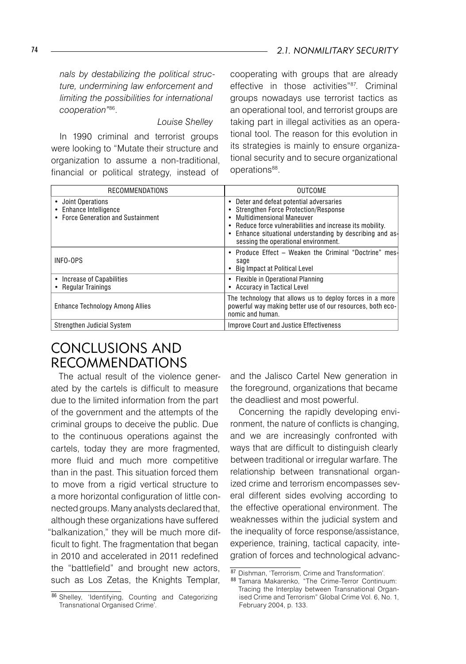*nals by destabilizing the political structure, undermining law enforcement and limiting the possibilities for international cooperation"*<sup>86</sup>.

#### *Louise Shelley*

In 1990 criminal and terrorist groups were looking to "Mutate their structure and organization to assume a non-traditional, financial or political strategy, instead of

cooperating with groups that are already effective in those activities"<sup>87</sup>. Criminal groups nowadays use terrorist tactics as an operational tool, and terrorist groups are taking part in illegal activities as an operational tool. The reason for this evolution in its strategies is mainly to ensure organizational security and to secure organizational operations<sup>88</sup>.

| RECOMMENDATIONS                                                                    | <b>OUTCOME</b>                                                                                                                                                                                                                                                                                |
|------------------------------------------------------------------------------------|-----------------------------------------------------------------------------------------------------------------------------------------------------------------------------------------------------------------------------------------------------------------------------------------------|
| • Joint Operations<br>• Enhance Intelligence<br>• Force Generation and Sustainment | • Deter and defeat potential adversaries<br>• Strengthen Force Protection/Response<br><b>Multidimensional Maneuver</b><br>٠<br>• Reduce force vulnerabilities and increase its mobility.<br>• Enhance situational understanding by describing and as-<br>sessing the operational environment. |
| INFO-OPS                                                                           | • Produce Effect – Weaken the Criminal "Doctrine" mes-<br>sage<br>• Big Impact at Political Level                                                                                                                                                                                             |
| • Increase of Capabilities<br>• Regular Trainings                                  | • Flexible in Operational Planning<br>• Accuracy in Tactical Level                                                                                                                                                                                                                            |
| <b>Enhance Technology Among Allies</b>                                             | The technology that allows us to deploy forces in a more<br>powerful way making better use of our resources, both eco-<br>nomic and human.                                                                                                                                                    |
| Strengthen Judicial System                                                         | Improve Court and Justice Effectiveness                                                                                                                                                                                                                                                       |

# CONCLUSIONS AND RECOMMENDATIONS

The actual result of the violence generated by the cartels is difficult to measure due to the limited information from the part of the government and the attempts of the criminal groups to deceive the public. Due to the continuous operations against the cartels, today they are more fragmented, more fluid and much more competitive than in the past. This situation forced them to move from a rigid vertical structure to a more horizontal configuration of little connected groups. Many analysts declared that, although these organizations have suffered "balkanization," they will be much more difficult to fight. The fragmentation that began in 2010 and accelerated in 2011 redefined the "battlefield" and brought new actors, such as Los Zetas, the Knights Templar,

<sup>86</sup> Shelley, 'Identifying, Counting and Categorizing Transnational Organised Crime'.

and the Jalisco Cartel New generation in the foreground, organizations that became the deadliest and most powerful.

Concerning the rapidly developing environment, the nature of conflicts is changing, and we are increasingly confronted with ways that are difficult to distinguish clearly between traditional or irregular warfare. The relationship between transnational organized crime and terrorism encompasses several different sides evolving according to the effective operational environment. The weaknesses within the judicial system and the inequality of force response/assistance, experience, training, tactical capacity, integration of forces and technological advanc-

<sup>87</sup> Dishman, 'Terrorism, Crime and Transformation'.

<sup>88</sup> Tamara Makarenko, "The Crime-Terror Continuum: Tracing the Interplay between Transnational Organised Crime and Terrorism" Global Crime Vol. 6, No. 1, February 2004, p. 133.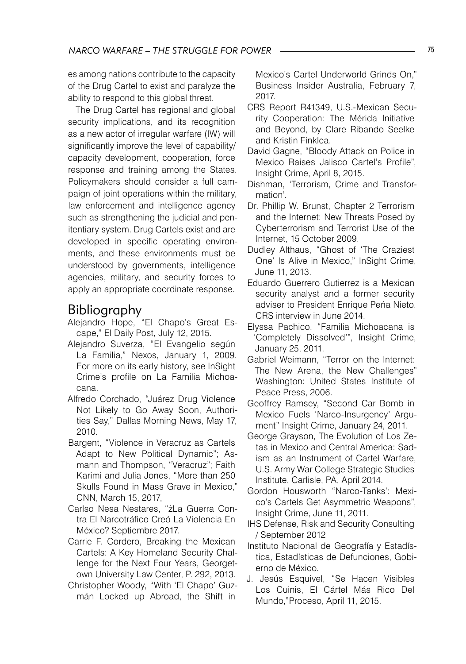es among nations contribute to the capacity of the Drug Cartel to exist and paralyze the ability to respond to this global threat.

The Drug Cartel has regional and global security implications, and its recognition as a new actor of irregular warfare (IW) will significantly improve the level of capability/ capacity development, cooperation, force response and training among the States. Policymakers should consider a full campaign of joint operations within the military, law enforcement and intelligence agency such as strengthening the judicial and penitentiary system. Drug Cartels exist and are developed in specific operating environments, and these environments must be understood by governments, intelligence agencies, military, and security forces to apply an appropriate coordinate response.

# Bibliography

- Alejandro Hope, "El Chapo's Great Escape," El Daily Post, July 12, 2015.
- Alejandro Suverza, "El Evangelio según La Familia," Nexos, January 1, 2009. For more on its early history, see InSight Crime's profile on La Familia Michoacana.
- Alfredo Corchado, "Juárez Drug Violence Not Likely to Go Away Soon, Authorities Say," Dallas Morning News, May 17, 2010.
- Bargent, "Violence in Veracruz as Cartels Adapt to New Political Dynamic"; Asmann and Thompson, "Veracruz"; Faith Karimi and Julia Jones, "More than 250 Skulls Found in Mass Grave in Mexico," CNN, March 15, 2017,
- Carlso Nesa Nestares, "żLa Guerra Contra El Narcotráfico Creó La Violencia En México? Septiembre 2017.
- Carrie F. Cordero, Breaking the Mexican Cartels: A Key Homeland Security Challenge for the Next Four Years, Georgetown University Law Center, P. 292, 2013.
- Christopher Woody, "With 'El Chapo' Guzmán Locked up Abroad, the Shift in

Mexico's Cartel Underworld Grinds On," Business Insider Australia, February 7, 2017.

- CRS Report R41349, U.S.-Mexican Security Cooperation: The Mérida Initiative and Beyond, by Clare Ribando Seelke and Kristin Finklea.
- David Gagne, "Bloody Attack on Police in Mexico Raises Jalisco Cartel's Profile", Insight Crime, April 8, 2015.
- Dishman, 'Terrorism, Crime and Transformation'.
- Dr. Phillip W. Brunst, Chapter 2 Terrorism and the Internet: New Threats Posed by Cyberterrorism and Terrorist Use of the Internet, 15 October 2009.
- Dudley Althaus, "Ghost of 'The Craziest One' Is Alive in Mexico," InSight Crime, June 11, 2013.
- Eduardo Guerrero Gutierrez is a Mexican security analyst and a former security adviser to President Enrique Peńa Nieto. CRS interview in June 2014.
- Elyssa Pachico, "Familia Michoacana is 'Completely Dissolved'", Insight Crime, January 25, 2011.
- Gabriel Weimann, "Terror on the Internet: The New Arena, the New Challenges" Washington: United States Institute of Peace Press, 2006.
- Geoffrey Ramsey, "Second Car Bomb in Mexico Fuels 'Narco-Insurgency' Argument" Insight Crime, January 24, 2011.
- George Grayson, The Evolution of Los Zetas in Mexico and Central America: Sadism as an Instrument of Cartel Warfare, U.S. Army War College Strategic Studies Institute, Carlisle, PA, April 2014.
- Gordon Housworth "Narco-Tanks': Mexico's Cartels Get Asymmetric Weapons", Insight Crime, June 11, 2011.
- IHS Defense, Risk and Security Consulting / September 2012
- Instituto Nacional de Geografía y Estadística, Estadísticas de Defunciones, Gobierno de México.
- J. Jesús Esquivel, "Se Hacen Visibles Los Cuinis, El Cártel Más Rico Del Mundo,"Proceso, April 11, 2015.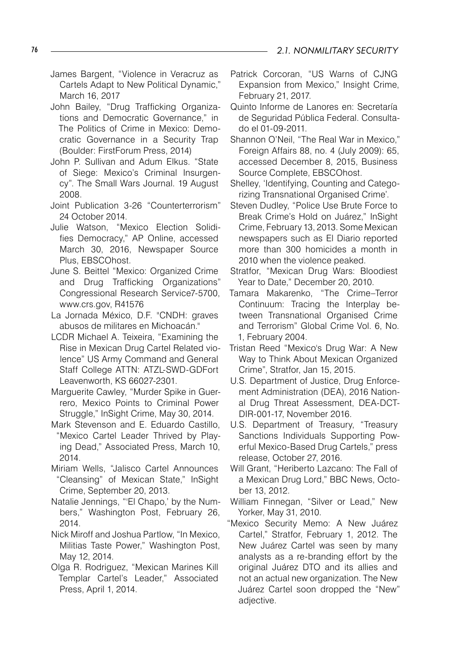- James Bargent, "Violence in Veracruz as Cartels Adapt to New Political Dynamic," March 16, 2017
- John Bailey, "Drug Trafficking Organizations and Democratic Governance," in The Politics of Crime in Mexico: Democratic Governance in a Security Trap (Boulder: FirstForum Press, 2014)
- John P. Sullivan and Adum Elkus. "State of Siege: Mexico's Criminal Insurgency". The Small Wars Journal. 19 August 2008.
- Joint Publication 3-26 "Counterterrorism" 24 October 2014.
- Julie Watson, "Mexico Election Solidifies Democracy," AP Online, accessed March 30, 2016, Newspaper Source Plus, EBSCOhost.
- June S. Beittel "Mexico: Organized Crime and Drug Trafficking Organizations" Congressional Research Service7-5700, www.crs.gov, R41576
- La Jornada México, D.F. "CNDH: graves abusos de militares en Michoacán."
- LCDR Michael A. Teixeira, "Examining the Rise in Mexican Drug Cartel Related violence" US Army Command and General Staff College ATTN: ATZL-SWD-GDFort Leavenworth, KS 66027-2301.
- Marguerite Cawley, "Murder Spike in Guerrero, Mexico Points to Criminal Power Struggle," InSight Crime, May 30, 2014.
- Mark Stevenson and E. Eduardo Castillo, "Mexico Cartel Leader Thrived by Playing Dead," Associated Press, March 10, 2014.
- Miriam Wells, "Jalisco Cartel Announces "Cleansing" of Mexican State," InSight Crime, September 20, 2013.
- Natalie Jennings, "'El Chapo,' by the Numbers," Washington Post, February 26, 2014.
- Nick Miroff and Joshua Partlow, "In Mexico, Militias Taste Power," Washington Post, May 12, 2014.
- Olga R. Rodriguez, "Mexican Marines Kill Templar Cartel's Leader," Associated Press, April 1, 2014.
- Patrick Corcoran, "US Warns of CJNG Expansion from Mexico," Insight Crime, February 21, 2017.
- Quinto Informe de Lanores en: Secretaría de Seguridad Pública Federal. Consultado el 01-09-2011.
- Shannon O'Neil, "The Real War in Mexico," Foreign Affairs 88, no. 4 (July 2009): 65, accessed December 8, 2015, Business Source Complete, EBSCOhost.
- Shelley, 'Identifying, Counting and Categorizing Transnational Organised Crime'.
- Steven Dudley, "Police Use Brute Force to Break Crime's Hold on Juárez," InSight Crime, February 13, 2013. Some Mexican newspapers such as El Diario reported more than 300 homicides a month in 2010 when the violence peaked.
- Stratfor, "Mexican Drug Wars: Bloodiest Year to Date," December 20, 2010.
- Tamara Makarenko, "The Crime–Terror Continuum: Tracing the Interplay between Transnational Organised Crime and Terrorism" Global Crime Vol. 6, No. 1, February 2004.
- Tristan Reed "Mexico's Drug War: A New Way to Think About Mexican Organized Crime", Stratfor, Jan 15, 2015.
- U.S. Department of Justice, Drug Enforcement Administration (DEA), 2016 National Drug Threat Assessment, DEA-DCT-DIR-001-17, November 2016.
- U.S. Department of Treasury, "Treasury Sanctions Individuals Supporting Powerful Mexico-Based Drug Cartels," press release, October 27, 2016.
- Will Grant, "Heriberto Lazcano: The Fall of a Mexican Drug Lord," BBC News, October 13, 2012.
- William Finnegan, "Silver or Lead," New Yorker, May 31, 2010.
- "Mexico Security Memo: A New Juárez Cartel," Stratfor, February 1, 2012. The New Juárez Cartel was seen by many analysts as a re-branding effort by the original Juárez DTO and its allies and not an actual new organization. The New Juárez Cartel soon dropped the "New" adjective.